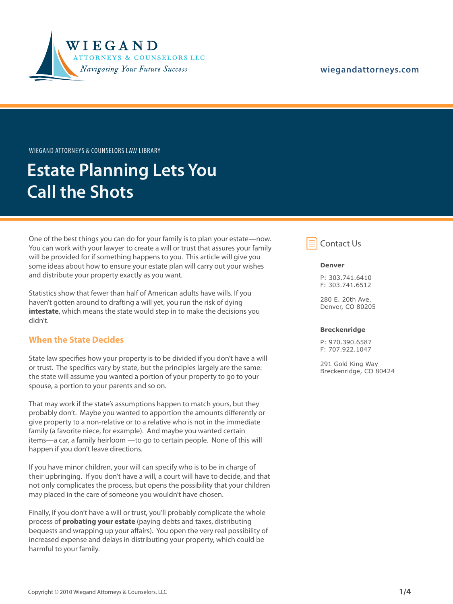

#### **[wiegandattorneys.com](http://wiegandattorneys.com/)**

Wiegand Attorneys & Counselors Law Library

# **Estate Planning Lets You Call the Shots**

One of the best things you can do for your family is to plan your estate—now. You can work with your lawyer to create a will or trust that assures your family will be provided for if something happens to you. This article will give you some ideas about how to ensure your estate plan will carry out your wishes and distribute your property exactly as you want.

Statistics show that fewer than half of American adults have wills. If you haven't gotten around to drafting a will yet, you run the risk of dying **intestate**, which means the state would step in to make the decisions you didn't.

### **When the State Decides**

State law specifies how your property is to be divided if you don't have a will or trust. The specifics vary by state, but the principles largely are the same: the state will assume you wanted a portion of your property to go to your spouse, a portion to your parents and so on.

That may work if the state's assumptions happen to match yours, but they probably don't. Maybe you wanted to apportion the amounts differently or give property to a non-relative or to a relative who is not in the immediate family (a favorite niece, for example). And maybe you wanted certain items—a car, a family heirloom —to go to certain people. None of this will happen if you don't leave directions.

If you have minor children, your will can specify who is to be in charge of their upbringing. If you don't have a will, a court will have to decide, and that not only complicates the process, but opens the possibility that your children may placed in the care of someone you wouldn't have chosen.

Finally, if you don't have a will or trust, you'll probably complicate the whole process of **probating your estate** (paying debts and taxes, distributing bequests and wrapping up your affairs). You open the very real possibility of increased expense and delays in distributing your property, which could be harmful to your family.



#### **Denver**

P: 303.741.6410 F: 303.741.6512

280 E. 20th Ave. Denver, CO 80205

#### **Breckenridge**

P: 970.390.6587 F: 707.922.1047

291 Gold King Way Breckenridge, CO 80424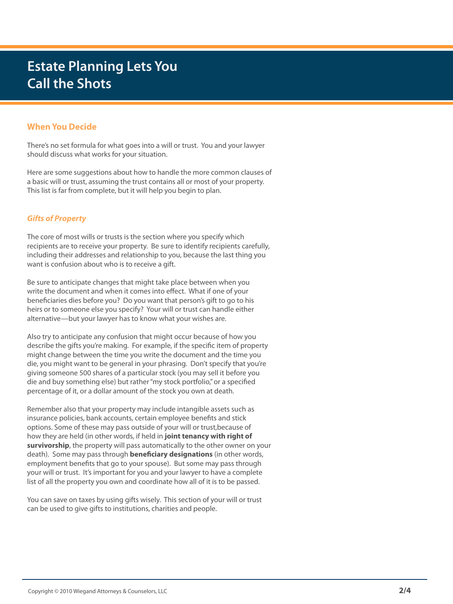## **Estate Planning Lets You Call the Shots**

## **When You Decide**

There's no set formula for what goes into a will or trust. You and your lawyer should discuss what works for your situation.

Here are some suggestions about how to handle the more common clauses of a basic will or trust, assuming the trust contains all or most of your property. This list is far from complete, but it will help you begin to plan.

### *Gifts of Property*

The core of most wills or trusts is the section where you specify which recipients are to receive your property. Be sure to identify recipients carefully, including their addresses and relationship to you, because the last thing you want is confusion about who is to receive a gift.

Be sure to anticipate changes that might take place between when you write the document and when it comes into effect. What if one of your beneficiaries dies before you? Do you want that person's gift to go to his heirs or to someone else you specify? Your will or trust can handle either alternative—but your lawyer has to know what your wishes are.

Also try to anticipate any confusion that might occur because of how you describe the gifts you're making. For example, if the specific item of property might change between the time you write the document and the time you die, you might want to be general in your phrasing. Don't specify that you're giving someone 500 shares of a particular stock (you may sell it before you die and buy something else) but rather "my stock portfolio," or a specified percentage of it, or a dollar amount of the stock you own at death.

Remember also that your property may include intangible assets such as insurance policies, bank accounts, certain employee benefits and stick options. Some of these may pass outside of your will or trust,because of how they are held (in other words, if held in **joint tenancy with right of survivorship**, the property will pass automatically to the other owner on your death). Some may pass through **beneficiary designations** (in other words, employment benefits that go to your spouse). But some may pass through your will or trust. It's important for you and your lawyer to have a complete list of all the property you own and coordinate how all of it is to be passed.

You can save on taxes by using gifts wisely. This section of your will or trust can be used to give gifts to institutions, charities and people.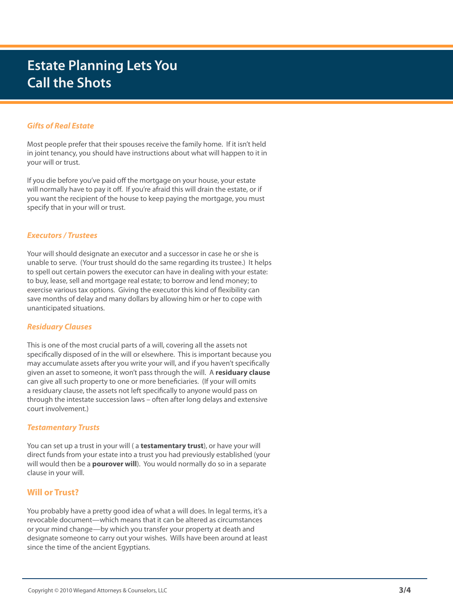## **Estate Planning Lets You Call the Shots**

### *Gifts of Real Estate*

Most people prefer that their spouses receive the family home. If it isn't held in joint tenancy, you should have instructions about what will happen to it in your will or trust.

If you die before you've paid off the mortgage on your house, your estate will normally have to pay it off. If you're afraid this will drain the estate, or if you want the recipient of the house to keep paying the mortgage, you must specify that in your will or trust.

#### *Executors / Trustees*

Your will should designate an executor and a successor in case he or she is unable to serve. (Your trust should do the same regarding its trustee.) It helps to spell out certain powers the executor can have in dealing with your estate: to buy, lease, sell and mortgage real estate; to borrow and lend money; to exercise various tax options. Giving the executor this kind of flexibility can save months of delay and many dollars by allowing him or her to cope with unanticipated situations.

#### *Residuary Clauses*

This is one of the most crucial parts of a will, covering all the assets not specifically disposed of in the will or elsewhere. This is important because you may accumulate assets after you write your will, and if you haven't specifically given an asset to someone, it won't pass through the will. A **residuary clause**  can give all such property to one or more beneficiaries. (If your will omits a residuary clause, the assets not left specifically to anyone would pass on through the intestate succession laws – often after long delays and extensive court involvement.)

#### *Testamentary Trusts*

You can set up a trust in your will ( a **testamentary trust**), or have your will direct funds from your estate into a trust you had previously established (your will would then be a **pourover will**). You would normally do so in a separate clause in your will.

### **Will or Trust?**

You probably have a pretty good idea of what a will does. In legal terms, it's a revocable document—which means that it can be altered as circumstances or your mind change—by which you transfer your property at death and designate someone to carry out your wishes. Wills have been around at least since the time of the ancient Egyptians.